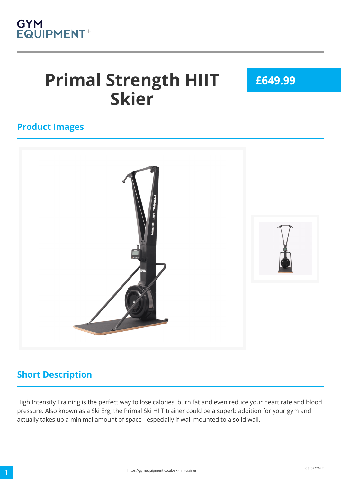

# **Primal Strength HIIT Skier**

**£649.99**

#### **Product Images**



### **Short Description**

High Intensity Training is the perfect way to lose calories, burn fat and even reduce your heart rate and blood pressure. Also known as a Ski Erg, the Primal Ski HIIT trainer could be a superb addition for your gym and actually takes up a minimal amount of space - especially if wall mounted to a solid wall.